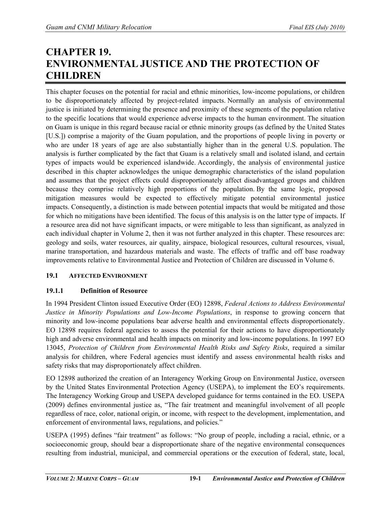# **CHAPTER 19. ENVIRONMENTAL JUSTICE AND THE PROTECTION OF CHILDREN**

This chapter focuses on the potential for racial and ethnic minorities, low-income populations, or children to be disproportionately affected by project-related impacts. Normally an analysis of environmental justice is initiated by determining the presence and proximity of these segments of the population relative to the specific locations that would experience adverse impacts to the human environment. The situation on Guam is unique in this regard because racial or ethnic minority groups (as defined by the United States [U.S.]) comprise a majority of the Guam population, and the proportions of people living in poverty or who are under 18 years of age are also substantially higher than in the general U.S. population. The analysis is further complicated by the fact that Guam is a relatively small and isolated island, and certain types of impacts would be experienced islandwide. Accordingly, the analysis of environmental justice described in this chapter acknowledges the unique demographic characteristics of the island population and assumes that the project effects could disproportionately affect disadvantaged groups and children because they comprise relatively high proportions of the population. By the same logic, proposed mitigation measures would be expected to effectively mitigate potential environmental justice impacts. Consequently, a distinction is made between potential impacts that would be mitigated and those for which no mitigations have been identified. The focus of this analysis is on the latter type of impacts. If a resource area did not have significant impacts, or were mitigable to less than significant, as analyzed in each individual chapter in Volume 2, then it was not further analyzed in this chapter. These resources are: geology and soils, water resources, air quality, airspace, biological resources, cultural resources, visual, marine transportation, and hazardous materials and waste. The effects of traffic and off base roadway improvements relative to Environmental Justice and Protection of Children are discussed in Volume 6.

## **19.1 AFFECTED ENVIRONMENT**

# **19.1.1 Definition of Resource**

In 1994 President Clinton issued Executive Order (EO) 12898, *Federal Actions to Address Environmental Justice in Minority Populations and Low-Income Populations*, in response to growing concern that minority and low-income populations bear adverse health and environmental effects disproportionately. EO 12898 requires federal agencies to assess the potential for their actions to have disproportionately high and adverse environmental and health impacts on minority and low-income populations. In 1997 EO 13045, *Protection of Children from Environmental Health Risks and Safety Risks*, required a similar analysis for children, where Federal agencies must identify and assess environmental health risks and safety risks that may disproportionately affect children.

EO 12898 authorized the creation of an Interagency Working Group on Environmental Justice, overseen by the United States Environmental Protection Agency (USEPA), to implement the EO's requirements. The Interagency Working Group and USEPA developed guidance for terms contained in the EO. USEPA (2009) defines environmental justice as, "The fair treatment and meaningful involvement of all people regardless of race, color, national origin, or income, with respect to the development, implementation, and enforcement of environmental laws, regulations, and policies."

USEPA (1995) defines "fair treatment" as follows: "No group of people, including a racial, ethnic, or a socioeconomic group, should bear a disproportionate share of the negative environmental consequences resulting from industrial, municipal, and commercial operations or the execution of federal, state, local,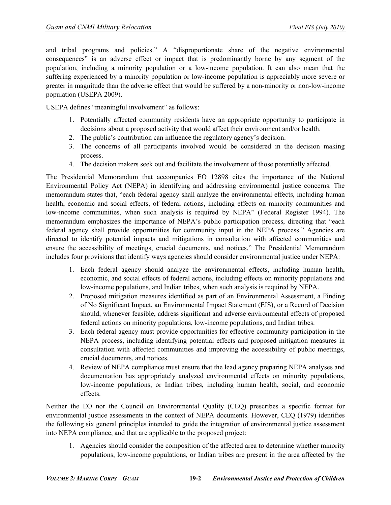and tribal programs and policies." A "disproportionate share of the negative environmental consequences" is an adverse effect or impact that is predominantly borne by any segment of the population, including a minority population or a low-income population. It can also mean that the suffering experienced by a minority population or low-income population is appreciably more severe or greater in magnitude than the adverse effect that would be suffered by a non-minority or non-low-income population (USEPA 2009).

USEPA defines "meaningful involvement" as follows:

- 1. Potentially affected community residents have an appropriate opportunity to participate in decisions about a proposed activity that would affect their environment and/or health.
- 2. The public's contribution can influence the regulatory agency's decision.
- 3. The concerns of all participants involved would be considered in the decision making process.
- 4. The decision makers seek out and facilitate the involvement of those potentially affected.

The Presidential Memorandum that accompanies EO 12898 cites the importance of the National Environmental Policy Act (NEPA) in identifying and addressing environmental justice concerns. The memorandum states that, "each federal agency shall analyze the environmental effects, including human health, economic and social effects, of federal actions, including effects on minority communities and low-income communities, when such analysis is required by NEPA" (Federal Register 1994). The memorandum emphasizes the importance of NEPA's public participation process, directing that "each federal agency shall provide opportunities for community input in the NEPA process." Agencies are directed to identify potential impacts and mitigations in consultation with affected communities and ensure the accessibility of meetings, crucial documents, and notices." The Presidential Memorandum includes four provisions that identify ways agencies should consider environmental justice under NEPA:

- 1. Each federal agency should analyze the environmental effects, including human health, economic, and social effects of federal actions, including effects on minority populations and low-income populations, and Indian tribes, when such analysis is required by NEPA.
- 2. Proposed mitigation measures identified as part of an Environmental Assessment, a Finding of No Significant Impact, an Environmental Impact Statement (EIS), or a Record of Decision should, whenever feasible, address significant and adverse environmental effects of proposed federal actions on minority populations, low-income populations, and Indian tribes.
- 3. Each federal agency must provide opportunities for effective community participation in the NEPA process, including identifying potential effects and proposed mitigation measures in consultation with affected communities and improving the accessibility of public meetings, crucial documents, and notices.
- 4. Review of NEPA compliance must ensure that the lead agency preparing NEPA analyses and documentation has appropriately analyzed environmental effects on minority populations, low-income populations, or Indian tribes, including human health, social, and economic effects.

Neither the EO nor the Council on Environmental Quality (CEQ) prescribes a specific format for environmental justice assessments in the context of NEPA documents. However, CEQ (1979) identifies the following six general principles intended to guide the integration of environmental justice assessment into NEPA compliance, and that are applicable to the proposed project:

1. Agencies should consider the composition of the affected area to determine whether minority populations, low-income populations, or Indian tribes are present in the area affected by the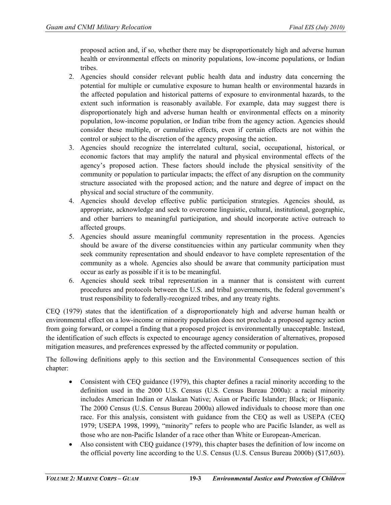proposed action and, if so, whether there may be disproportionately high and adverse human health or environmental effects on minority populations, low-income populations, or Indian tribes.

- 2. Agencies should consider relevant public health data and industry data concerning the potential for multiple or cumulative exposure to human health or environmental hazards in the affected population and historical patterns of exposure to environmental hazards, to the extent such information is reasonably available. For example, data may suggest there is disproportionately high and adverse human health or environmental effects on a minority population, low-income population, or Indian tribe from the agency action. Agencies should consider these multiple, or cumulative effects, even if certain effects are not within the control or subject to the discretion of the agency proposing the action.
- 3. Agencies should recognize the interrelated cultural, social, occupational, historical, or economic factors that may amplify the natural and physical environmental effects of the agency's proposed action. These factors should include the physical sensitivity of the community or population to particular impacts; the effect of any disruption on the community structure associated with the proposed action; and the nature and degree of impact on the physical and social structure of the community.
- 4. Agencies should develop effective public participation strategies. Agencies should, as appropriate, acknowledge and seek to overcome linguistic, cultural, institutional, geographic, and other barriers to meaningful participation, and should incorporate active outreach to affected groups.
- 5. Agencies should assure meaningful community representation in the process. Agencies should be aware of the diverse constituencies within any particular community when they seek community representation and should endeavor to have complete representation of the community as a whole. Agencies also should be aware that community participation must occur as early as possible if it is to be meaningful.
- 6. Agencies should seek tribal representation in a manner that is consistent with current procedures and protocols between the U.S. and tribal governments, the federal government's trust responsibility to federally-recognized tribes, and any treaty rights.

CEQ (1979) states that the identification of a disproportionately high and adverse human health or environmental effect on a low-income or minority population does not preclude a proposed agency action from going forward, or compel a finding that a proposed project is environmentally unacceptable. Instead, the identification of such effects is expected to encourage agency consideration of alternatives, proposed mitigation measures, and preferences expressed by the affected community or population.

The following definitions apply to this section and the Environmental Consequences section of this chapter:

- Consistent with CEQ guidance (1979), this chapter defines a racial minority according to the definition used in the 2000 U.S. Census (U.S. Census Bureau 2000a): a racial minority includes American Indian or Alaskan Native; Asian or Pacific Islander; Black; or Hispanic. The 2000 Census (U.S. Census Bureau 2000a) allowed individuals to choose more than one race. For this analysis, consistent with guidance from the CEQ as well as USEPA (CEQ 1979; USEPA 1998, 1999), "minority" refers to people who are Pacific Islander, as well as those who are non-Pacific Islander of a race other than White or European-American.
- Also consistent with CEQ guidance (1979), this chapter bases the definition of low income on the official poverty line according to the U.S. Census (U.S. Census Bureau 2000b) (\$17,603).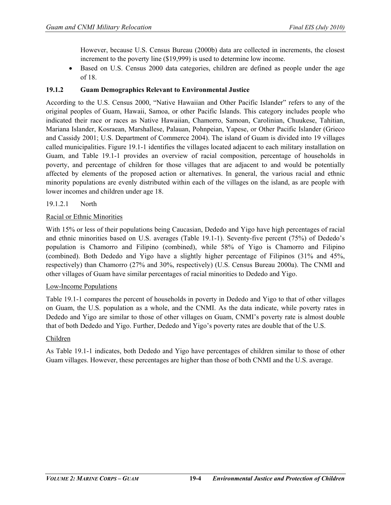However, because U.S. Census Bureau (2000b) data are collected in increments, the closest increment to the poverty line (\$19,999) is used to determine low income.

• Based on U.S. Census 2000 data categories, children are defined as people under the age of 18.

## **19.1.2 Guam Demographics Relevant to Environmental Justice**

According to the U.S. Census 2000, "Native Hawaiian and Other Pacific Islander" refers to any of the original peoples of Guam, Hawaii, Samoa, or other Pacific Islands. This category includes people who indicated their race or races as Native Hawaiian, Chamorro, Samoan, Carolinian, Chuukese, Tahitian, Mariana Islander, Kosraean, Marshallese, Palauan, Pohnpeian, Yapese, or Other Pacific Islander (Grieco and Cassidy 2001; U.S. Department of Commerce 2004). The island of Guam is divided into 19 villages called municipalities. Figure 19.1-1 identifies the villages located adjacent to each military installation on Guam, and Table 19.1-1 provides an overview of racial composition, percentage of households in poverty, and percentage of children for those villages that are adjacent to and would be potentially affected by elements of the proposed action or alternatives. In general, the various racial and ethnic minority populations are evenly distributed within each of the villages on the island, as are people with lower incomes and children under age 18.

## 19.1.2.1 North

#### Racial or Ethnic Minorities

With 15% or less of their populations being Caucasian, Dededo and Yigo have high percentages of racial and ethnic minorities based on U.S. averages [\(Table](#page-5-0) 19.1-1). Seventy-five percent (75%) of Dededo's population is Chamorro and Filipino (combined), while 58% of Yigo is Chamorro and Filipino (combined). Both Dededo and Yigo have a slightly higher percentage of Filipinos (31% and 45%, respectively) than Chamorro (27% and 30%, respectively) (U.S. Census Bureau 2000a). The CNMI and other villages of Guam have similar percentages of racial minorities to Dededo and Yigo.

#### Low-Income Populations

Table 19.1-1 compares the percent of households in poverty in Dededo and Yigo to that of other villages on Guam, the U.S. population as a whole, and the CNMI. As the data indicate, while poverty rates in Dededo and Yigo are similar to those of other villages on Guam, CNMI's poverty rate is almost double that of both Dededo and Yigo. Further, Dededo and Yigo's poverty rates are double that of the U.S.

#### Children

As Table 19.1-1 indicates, both Dededo and Yigo have percentages of children similar to those of other Guam villages. However, these percentages are higher than those of both CNMI and the U.S. average.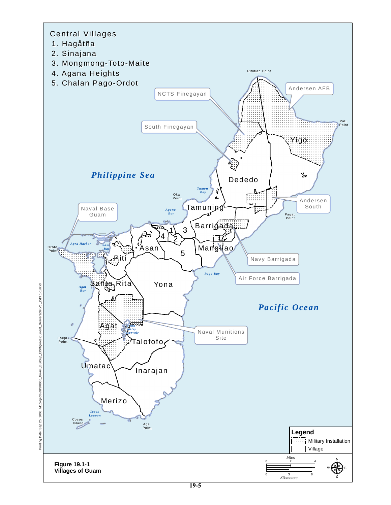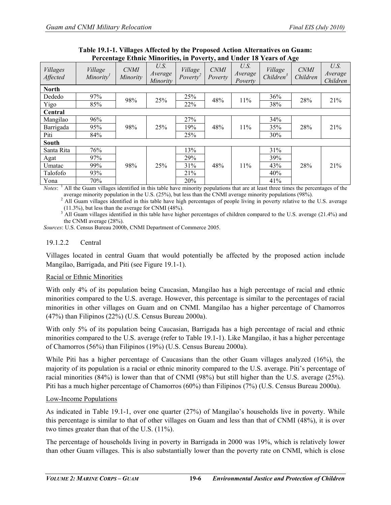<span id="page-5-0"></span>

| Terculage Ethnic Minorities, in Foyerty, and Onder To Tears of Age |                                  |                         |                                    |                               |                        |                            |                                  |                         |                             |
|--------------------------------------------------------------------|----------------------------------|-------------------------|------------------------------------|-------------------------------|------------------------|----------------------------|----------------------------------|-------------------------|-----------------------------|
| <b>Villages</b><br>Affected                                        | Village<br>Minority <sup>1</sup> | <b>CNMI</b><br>Minority | U.S.<br>Average<br><i>Minority</i> | Village<br>Power <sup>2</sup> | <b>CNMI</b><br>Poverty | U.S.<br>Average<br>Poverty | Village<br>Children <sup>3</sup> | <b>CNMI</b><br>Children | U.S.<br>Average<br>Children |
| <b>North</b>                                                       |                                  |                         |                                    |                               |                        |                            |                                  |                         |                             |
| Dededo                                                             | 97%                              | 98%                     | 25%                                | 25%                           | 48%                    | 11%                        | 36%                              | 28%                     | 21%                         |
| Yigo                                                               | 85%                              |                         |                                    | 22%                           |                        |                            | 38%                              |                         |                             |
| Central                                                            |                                  |                         |                                    |                               |                        |                            |                                  |                         |                             |
| Mangilao                                                           | 96%                              |                         |                                    | 27%                           |                        |                            | 34%                              |                         |                             |
| Barrigada                                                          | 95%                              | 98%                     | 25%                                | 19%                           | 48%                    | 11%                        | 35%                              | 28%                     | 21%                         |
| Piti                                                               | 84%                              |                         |                                    | 25%                           |                        |                            | 30%                              |                         |                             |
| <b>South</b>                                                       |                                  |                         |                                    |                               |                        |                            |                                  |                         |                             |
| Santa Rita                                                         | 76%                              |                         |                                    | 13%                           |                        |                            | 31%                              |                         |                             |
| Agat                                                               | 97%                              |                         |                                    | 29%                           |                        |                            | 39%                              |                         |                             |
| Umatac                                                             | 99%                              | 98%                     | 25%                                | 31%                           | 48%                    | 11%                        | 43%                              | 28%                     | 21%                         |
| Talofofo                                                           | 93%                              |                         |                                    | 21%                           |                        |                            | 40%                              |                         |                             |
| Yona                                                               | 70%                              |                         |                                    | 20%                           |                        |                            | 41%                              |                         |                             |

**Table 19.1-1. Villages Affected by the Proposed Action Alternatives on Guam: Percentage Ethnic Minorities, in Poverty, and Under 18 Years of Age**

*Notes*: <sup>1</sup> All the Guam villages identified in this table have minority populations that are at least three times the percentages of the average minority population in the U.S. (25%), but less than the CNMI average minority populations (98%).

<sup>2</sup> All Guam villages identified in this table have high percentages of people living in poverty relative to the U.S. average (11.3%), but less than the average for CNMI (48%).

 $3$  All Guam villages identified in this table have higher percentages of children compared to the U.S. average (21.4%) and  $3$  All Guam villages identified in this table have higher percentages of children compared to th the CNMI average (28%).

*Sources*: U.S. Census Bureau 2000b, CNMI Department of Commerce 2005.

## 19.1.2.2 Central

Villages located in central Guam that would potentially be affected by the proposed action include Mangilao, Barrigada, and Piti (see Figure 19.1-1).

## Racial or Ethnic Minorities

With only 4% of its population being Caucasian, Mangilao has a high percentage of racial and ethnic minorities compared to the U.S. average. However, this percentage is similar to the percentages of racial minorities in other villages on Guam and on CNMI. Mangilao has a higher percentage of Chamorros (47%) than Filipinos (22%) (U.S. Census Bureau 2000a).

With only 5% of its population being Caucasian, Barrigada has a high percentage of racial and ethnic minorities compared to the U.S. average (refer to Table 19.1-1). Like Mangilao, it has a higher percentage of Chamorros (56%) than Filipinos (19%) (U.S. Census Bureau 2000a).

While Piti has a higher percentage of Caucasians than the other Guam villages analyzed (16%), the majority of its population is a racial or ethnic minority compared to the U.S. average. Piti's percentage of racial minorities (84%) is lower than that of CNMI (98%) but still higher than the U.S. average (25%). Piti has a much higher percentage of Chamorros (60%) than Filipinos (7%) (U.S. Census Bureau 2000a).

## Low-Income Populations

As indicated in Table 19.1-1, over one quarter (27%) of Mangilao's households live in poverty. While this percentage is similar to that of other villages on Guam and less than that of CNMI (48%), it is over two times greater than that of the U.S. (11%).

The percentage of households living in poverty in Barrigada in 2000 was 19%, which is relatively lower than other Guam villages. This is also substantially lower than the poverty rate on CNMI, which is close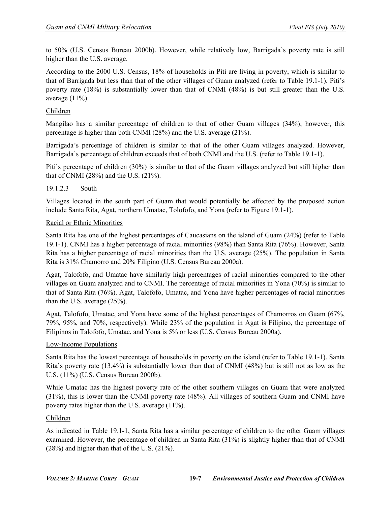to 50% (U.S. Census Bureau 2000b). However, while relatively low, Barrigada's poverty rate is still higher than the U.S. average.

According to the 2000 U.S. Census, 18% of households in Piti are living in poverty, which is similar to that of Barrigada but less than that of the other villages of Guam analyzed (refer to Table 19.1-1). Piti's poverty rate (18%) is substantially lower than that of CNMI (48%) is but still greater than the U.S. average (11%).

## Children

Mangilao has a similar percentage of children to that of other Guam villages (34%); however, this percentage is higher than both CNMI (28%) and the U.S. average (21%).

Barrigada's percentage of children is similar to that of the other Guam villages analyzed. However, Barrigada's percentage of children exceeds that of both CNMI and the U.S. (refer to Table 19.1-1).

Piti's percentage of children (30%) is similar to that of the Guam villages analyzed but still higher than that of CNMI (28%) and the U.S. (21%).

## 19.1.2.3 South

Villages located in the south part of Guam that would potentially be affected by the proposed action include Santa Rita, Agat, northern Umatac, Tolofofo, and Yona (refer to Figure 19.1-1).

#### Racial or Ethnic Minorities

Santa Rita has one of the highest percentages of Caucasians on the island of Guam (24%) (refer to Table 19.1-1). CNMI has a higher percentage of racial minorities (98%) than Santa Rita (76%). However, Santa Rita has a higher percentage of racial minorities than the U.S. average (25%). The population in Santa Rita is 31% Chamorro and 20% Filipino (U.S. Census Bureau 2000a).

Agat, Talofofo, and Umatac have similarly high percentages of racial minorities compared to the other villages on Guam analyzed and to CNMI. The percentage of racial minorities in Yona (70%) is similar to that of Santa Rita (76%). Agat, Talofofo, Umatac, and Yona have higher percentages of racial minorities than the U.S. average (25%).

Agat, Talofofo, Umatac, and Yona have some of the highest percentages of Chamorros on Guam (67%, 79%, 95%, and 70%, respectively). While 23% of the population in Agat is Filipino, the percentage of Filipinos in Talofofo, Umatac, and Yona is 5% or less (U.S. Census Bureau 2000a).

## Low-Income Populations

Santa Rita has the lowest percentage of households in poverty on the island (refer to Table 19.1-1). Santa Rita's poverty rate (13.4%) is substantially lower than that of CNMI (48%) but is still not as low as the U.S. (11%) (U.S. Census Bureau 2000b).

While Umatac has the highest poverty rate of the other southern villages on Guam that were analyzed (31%), this is lower than the CNMI poverty rate (48%). All villages of southern Guam and CNMI have poverty rates higher than the U.S. average (11%).

## Children

As indicated in Table 19.1-1, Santa Rita has a similar percentage of children to the other Guam villages examined. However, the percentage of children in Santa Rita (31%) is slightly higher than that of CNMI (28%) and higher than that of the U.S. (21%).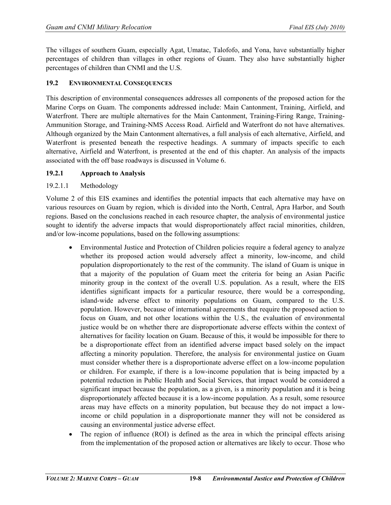The villages of southern Guam, especially Agat, Umatac, Talofofo, and Yona, have substantially higher percentages of children than villages in other regions of Guam. They also have substantially higher percentages of children than CNMI and the U.S.

## **19.2 ENVIRONMENTAL CONSEQUENCES**

This description of environmental consequences addresses all components of the proposed action for the Marine Corps on Guam. The components addressed include: Main Cantonment, Training, Airfield, and Waterfront. There are multiple alternatives for the Main Cantonment, Training-Firing Range, Training-Ammunition Storage, and Training-NMS Access Road. Airfield and Waterfront do not have alternatives. Although organized by the Main Cantonment alternatives, a full analysis of each alternative, Airfield, and Waterfront is presented beneath the respective headings. A summary of impacts specific to each alternative, Airfield and Waterfront, is presented at the end of this chapter. An analysis of the impacts associated with the off base roadways is discussed in Volume 6.

## **19.2.1 Approach to Analysis**

## 19.2.1.1 Methodology

Volume 2 of this EIS examines and identifies the potential impacts that each alternative may have on various resources on Guam by region, which is divided into the North, Central, Apra Harbor, and South regions. Based on the conclusions reached in each resource chapter, the analysis of environmental justice sought to identify the adverse impacts that would disproportionately affect racial minorities, children, and/or low-income populations, based on the following assumptions:

- Environmental Justice and Protection of Children policies require a federal agency to analyze whether its proposed action would adversely affect a minority, low-income, and child population disproportionately to the rest of the community. The island of Guam is unique in that a majority of the population of Guam meet the criteria for being an Asian Pacific minority group in the context of the overall U.S. population. As a result, where the EIS identifies significant impacts for a particular resource, there would be a corresponding, island-wide adverse effect to minority populations on Guam, compared to the U.S. population. However, because of international agreements that require the proposed action to focus on Guam, and not other locations within the U.S., the evaluation of environmental justice would be on whether there are disproportionate adverse effects within the context of alternatives for facility location on Guam. Because of this, it would be impossible for there to be a disproportionate effect from an identified adverse impact based solely on the impact affecting a minority population. Therefore, the analysis for environmental justice on Guam must consider whether there is a disproportionate adverse effect on a low-income population or children. For example, if there is a low-income population that is being impacted by a potential reduction in Public Health and Social Services, that impact would be considered a significant impact because the population, as a given, is a minority population and it is being disproportionately affected because it is a low-income population. As a result, some resource areas may have effects on a minority population, but because they do not impact a lowincome or child population in a disproportionate manner they will not be considered as causing an environmental justice adverse effect.
- The region of influence (ROI) is defined as the area in which the principal effects arising from the implementation of the proposed action or alternatives are likely to occur. Those who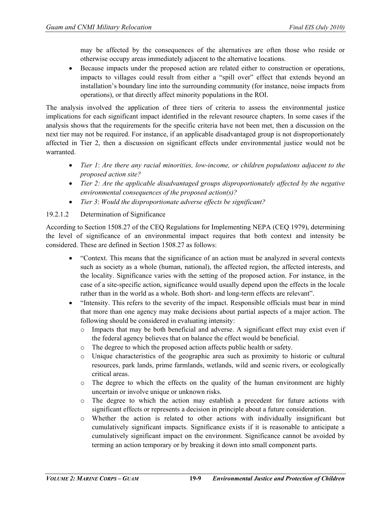may be affected by the consequences of the alternatives are often those who reside or otherwise occupy areas immediately adjacent to the alternative locations.

• Because impacts under the proposed action are related either to construction or operations, impacts to villages could result from either a "spill over" effect that extends beyond an installation's boundary line into the surrounding community (for instance, noise impacts from operations), or that directly affect minority populations in the ROI.

The analysis involved the application of three tiers of criteria to assess the environmental justice implications for each significant impact identified in the relevant resource chapters. In some cases if the analysis shows that the requirements for the specific criteria have not been met, then a discussion on the next tier may not be required. For instance, if an applicable disadvantaged group is not disproportionately affected in Tier 2, then a discussion on significant effects under environmental justice would not be warranted

- *Tier 1*: *Are there any racial minorities, low-income, or children populations adjacent to the proposed action site?*
- *Tier 2: Are the applicable disadvantaged groups disproportionately affected by the negative environmental consequences of the proposed action(s)?*
- *Tier 3*: *Would the disproportionate adverse effects be significant?*

## 19.2.1.2 Determination of Significance

According to Section 1508.27 of the CEQ Regulations for Implementing NEPA (CEQ 1979), determining the level of significance of an environmental impact requires that both context and intensity be considered. These are defined in Section 1508.27 as follows:

- "Context. This means that the significance of an action must be analyzed in several contexts such as society as a whole (human, national), the affected region, the affected interests, and the locality. Significance varies with the setting of the proposed action. For instance, in the case of a site-specific action, significance would usually depend upon the effects in the locale rather than in the world as a whole. Both short- and long-term effects are relevant".
- "Intensity. This refers to the severity of the impact. Responsible officials must bear in mind that more than one agency may make decisions about partial aspects of a major action. The following should be considered in evaluating intensity:
	- o Impacts that may be both beneficial and adverse. A significant effect may exist even if the federal agency believes that on balance the effect would be beneficial.
	- o The degree to which the proposed action affects public health or safety.
	- o Unique characteristics of the geographic area such as proximity to historic or cultural resources, park lands, prime farmlands, wetlands, wild and scenic rivers, or ecologically critical areas.
	- $\circ$  The degree to which the effects on the quality of the human environment are highly uncertain or involve unique or unknown risks.
	- o The degree to which the action may establish a precedent for future actions with significant effects or represents a decision in principle about a future consideration.
	- o Whether the action is related to other actions with individually insignificant but cumulatively significant impacts. Significance exists if it is reasonable to anticipate a cumulatively significant impact on the environment. Significance cannot be avoided by terming an action temporary or by breaking it down into small component parts.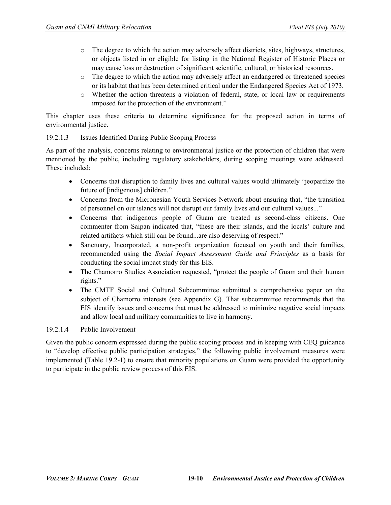- o The degree to which the action may adversely affect districts, sites, highways, structures, or objects listed in or eligible for listing in the National Register of Historic Places or may cause loss or destruction of significant scientific, cultural, or historical resources.
- o The degree to which the action may adversely affect an endangered or threatened species or its habitat that has been determined critical under the Endangered Species Act of 1973.
- o Whether the action threatens a violation of federal, state, or local law or requirements imposed for the protection of the environment."

This chapter uses these criteria to determine significance for the proposed action in terms of environmental justice.

#### 19.2.1.3 Issues Identified During Public Scoping Process

As part of the analysis, concerns relating to environmental justice or the protection of children that were mentioned by the public, including regulatory stakeholders, during scoping meetings were addressed. These included:

- Concerns that disruption to family lives and cultural values would ultimately "jeopardize the future of [indigenous] children."
- Concerns from the Micronesian Youth Services Network about ensuring that, "the transition of personnel on our islands will not disrupt our family lives and our cultural values..."
- Concerns that indigenous people of Guam are treated as second-class citizens. One commenter from Saipan indicated that, "these are their islands, and the locals' culture and related artifacts which still can be found...are also deserving of respect."
- Sanctuary, Incorporated, a non-profit organization focused on youth and their families, recommended using the *Social Impact Assessment Guide and Principles* as a basis for conducting the social impact study for this EIS.
- The Chamorro Studies Association requested, "protect the people of Guam and their human rights."
- The CMTF Social and Cultural Subcommittee submitted a comprehensive paper on the subject of Chamorro interests (see Appendix G). That subcommittee recommends that the EIS identify issues and concerns that must be addressed to minimize negative social impacts and allow local and military communities to live in harmony.

## 19.2.1.4 Public Involvement

Given the public concern expressed during the public scoping process and in keeping with CEQ guidance to "develop effective public participation strategies," the following public involvement measures were implemented (Table 19.2-1) to ensure that minority populations on Guam were provided the opportunity to participate in the public review process of this EIS.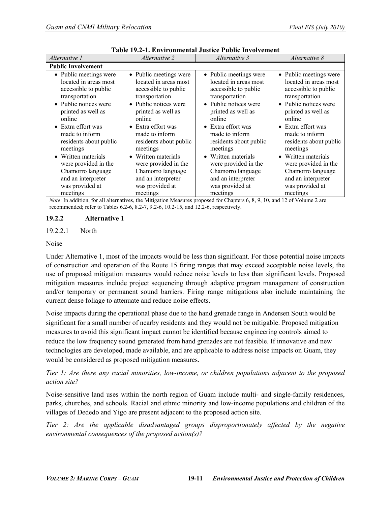| Alternative 1                                                                                                                                                                                       | <i>Alternative 2</i>                                                                                                                                                                                           | Alternative 3                                                                                                                                                                                       | Alternative 8                                                                                                                                                                                                  |  |  |
|-----------------------------------------------------------------------------------------------------------------------------------------------------------------------------------------------------|----------------------------------------------------------------------------------------------------------------------------------------------------------------------------------------------------------------|-----------------------------------------------------------------------------------------------------------------------------------------------------------------------------------------------------|----------------------------------------------------------------------------------------------------------------------------------------------------------------------------------------------------------------|--|--|
| <b>Public Involvement</b>                                                                                                                                                                           |                                                                                                                                                                                                                |                                                                                                                                                                                                     |                                                                                                                                                                                                                |  |  |
| • Public meetings were<br>located in areas most<br>accessible to public<br>transportation<br>• Public notices were<br>printed as well as<br>online                                                  | • Public meetings were<br>located in areas most<br>accessible to public<br>transportation<br>• Public notices were<br>printed as well as<br>online                                                             | • Public meetings were<br>located in areas most<br>accessible to public<br>transportation<br>• Public notices were<br>printed as well as<br>online                                                  | • Public meetings were<br>located in areas most<br>accessible to public<br>transportation<br>• Public notices were<br>printed as well as<br>online                                                             |  |  |
| • Extra effort was<br>made to inform<br>residents about public<br>meetings<br>• Written materials<br>were provided in the<br>Chamorro language<br>and an interpreter<br>was provided at<br>meetings | • Extra effort was<br>made to inform<br>residents about public<br>meetings<br>Written materials<br>$\bullet$<br>were provided in the<br>Chamorro language<br>and an interpreter<br>was provided at<br>meetings | • Extra effort was<br>made to inform<br>residents about public<br>meetings<br>• Written materials<br>were provided in the<br>Chamorro language<br>and an interpreter<br>was provided at<br>meetings | • Extra effort was<br>made to inform<br>residents about public<br>meetings<br>Written materials<br>$\bullet$<br>were provided in the<br>Chamorro language<br>and an interpreter<br>was provided at<br>meetings |  |  |

**Table 19.2-1. Environmental Justice Public Involvement**

*Note*: In addition, for all alternatives, the Mitigation Measures proposed for Chapters 6, 8, 9, 10, and 12 of Volume 2 are recommended; refer to Tables 6.2-6, 8.2-7, 9.2-6, 10.2-15, and 12.2-6, respectively.

#### **19.2.2 Alternative 1**

#### 19.2.2.1 North

#### Noise

Under Alternative 1, most of the impacts would be less than significant. For those potential noise impacts of construction and operation of the Route 15 firing ranges that may exceed acceptable noise levels, the use of proposed mitigation measures would reduce noise levels to less than significant levels. Proposed mitigation measures include project sequencing through adaptive program management of construction and/or temporary or permanent sound barriers. Firing range mitigations also include maintaining the current dense foliage to attenuate and reduce noise effects.

Noise impacts during the operational phase due to the hand grenade range in Andersen South would be significant for a small number of nearby residents and they would not be mitigable. Proposed mitigation measures to avoid this significant impact cannot be identified because engineering controls aimed to reduce the low frequency sound generated from hand grenades are not feasible. If innovative and new technologies are developed, made available, and are applicable to address noise impacts on Guam, they would be considered as proposed mitigation measures.

## *Tier 1: Are there any racial minorities, low-income, or children populations adjacent to the proposed action site?*

Noise-sensitive land uses within the north region of Guam include multi- and single-family residences, parks, churches, and schools. Racial and ethnic minority and low-income populations and children of the villages of Dededo and Yigo are present adjacent to the proposed action site.

*Tier 2: Are the applicable disadvantaged groups disproportionately affected by the negative environmental consequences of the proposed action(s)?*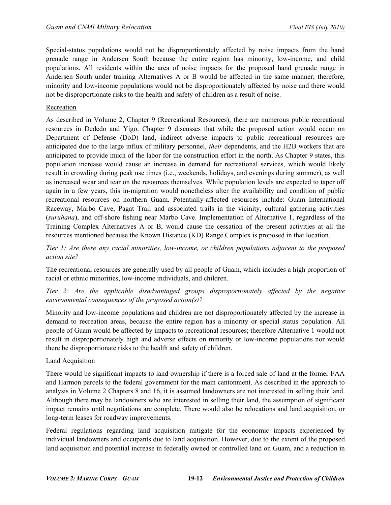Special-status populations would not be disproportionately affected by noise impacts from the hand grenade range in Andersen South because the entire region has minority, low-income, and child populations. All residents within the area of noise impacts for the proposed hand grenade range in Andersen South under training Alternatives A or B would be affected in the same manner; therefore, minority and low-income populations would not be disproportionately affected by noise and there would not be disproportionate risks to the health and safety of children as a result of noise.

#### Recreation

As described in Volume 2, Chapter 9 (Recreational Resources), there are numerous public recreational resources in Dededo and Yigo. Chapter 9 discusses that while the proposed action would occur on Department of Defense (DoD) land, indirect adverse impacts to public recreational resources are anticipated due to the large influx of military personnel, *their* dependents, and the H2B workers that are anticipated to provide much of the labor for the construction effort in the north. As Chapter 9 states, this population increase would cause an increase in demand for recreational services, which would likely result in crowding during peak use times (i.e., weekends, holidays, and evenings during summer), as well as increased wear and tear on the resources themselves. While population levels are expected to taper off again in a few years, this in-migration would nonetheless alter the availability and condition of public recreational resources on northern Guam. Potentially-affected resources include: Guam International Raceway, Marbo Cave, Pagat Trail and associated trails in the vicinity, cultural gathering activities (*suruhana*), and off-shore fishing near Marbo Cave. Implementation of Alternative 1, regardless of the Training Complex Alternatives A or B, would cause the cessation of the present activities at all the resources mentioned because the Known Distance (KD) Range Complex is proposed in that location.

*Tier 1: Are there any racial minorities, low-income, or children populations adjacent to the proposed action site?*

The recreational resources are generally used by all people of Guam, which includes a high proportion of racial or ethnic minorities, low-income individuals, and children.

*Tier 2: Are the applicable disadvantaged groups disproportionately affected by the negative environmental consequences of the proposed action(s)?* 

Minority and low-income populations and children are not disproportionately affected by the increase in demand to recreation areas, because the entire region has a minority or special status population. All people of Guam would be affected by impacts to recreational resources; therefore Alternative 1 would not result in disproportionately high and adverse effects on minority or low-income populations nor would there be disproportionate risks to the health and safety of children.

#### Land Acquisition

There would be significant impacts to land ownership if there is a forced sale of land at the former FAA and Harmon parcels to the federal government for the main cantonment. As described in the approach to analysis in Volume 2 Chapters 8 and 16, it is assumed landowners are not interested in selling their land. Although there may be landowners who are interested in selling their land, the assumption of significant impact remains until negotiations are complete. There would also be relocations and land acquisition, or long-term leases for roadway improvements.

Federal regulations regarding land acquisition mitigate for the economic impacts experienced by individual landowners and occupants due to land acquisition. However, due to the extent of the proposed land acquisition and potential increase in federally owned or controlled land on Guam, and a reduction in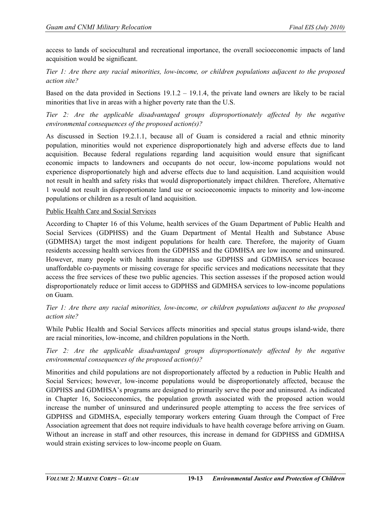access to lands of sociocultural and recreational importance, the overall socioeconomic impacts of land acquisition would be significant.

*Tier 1: Are there any racial minorities, low-income, or children populations adjacent to the proposed action site?*

Based on the data provided in Sections  $19.1.2 - 19.1.4$ , the private land owners are likely to be racial minorities that live in areas with a higher poverty rate than the U.S.

*Tier 2: Are the applicable disadvantaged groups disproportionately affected by the negative environmental consequences of the proposed action(s)?*

As discussed in Section 19.2.1.1, because all of Guam is considered a racial and ethnic minority population, minorities would not experience disproportionately high and adverse effects due to land acquisition. Because federal regulations regarding land acquisition would ensure that significant economic impacts to landowners and occupants do not occur, low-income populations would not experience disproportionately high and adverse effects due to land acquisition. Land acquisition would not result in health and safety risks that would disproportionately impact children. Therefore, Alternative 1 would not result in disproportionate land use or socioeconomic impacts to minority and low-income populations or children as a result of land acquisition.

#### Public Health Care and Social Services

According to Chapter 16 of this Volume, health services of the Guam Department of Public Health and Social Services (GDPHSS) and the Guam Department of Mental Health and Substance Abuse (GDMHSA) target the most indigent populations for health care. Therefore, the majority of Guam residents accessing health services from the GDPHSS and the GDMHSA are low income and uninsured. However, many people with health insurance also use GDPHSS and GDMHSA services because unaffordable co-payments or missing coverage for specific services and medications necessitate that they access the free services of these two public agencies. This section assesses if the proposed action would disproportionately reduce or limit access to GDPHSS and GDMHSA services to low-income populations on Guam.

## *Tier 1: Are there any racial minorities, low-income, or children populations adjacent to the proposed action site?*

While Public Health and Social Services affects minorities and special status groups island-wide, there are racial minorities, low-income, and children populations in the North.

*Tier 2: Are the applicable disadvantaged groups disproportionately affected by the negative environmental consequences of the proposed action(s)?*

Minorities and child populations are not disproportionately affected by a reduction in Public Health and Social Services; however, low-income populations would be disproportionately affected, because the GDPHSS and GDMHSA's programs are designed to primarily serve the poor and uninsured. As indicated in Chapter 16, Socioeconomics, the population growth associated with the proposed action would increase the number of uninsured and underinsured people attempting to access the free services of GDPHSS and GDMHSA, especially temporary workers entering Guam through the Compact of Free Association agreement that does not require individuals to have health coverage before arriving on Guam. Without an increase in staff and other resources, this increase in demand for GDPHSS and GDMHSA would strain existing services to low-income people on Guam.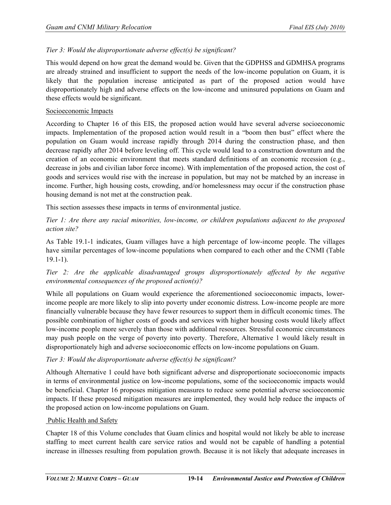## *Tier 3: Would the disproportionate adverse effect(s) be significant?*

This would depend on how great the demand would be. Given that the GDPHSS and GDMHSA programs are already strained and insufficient to support the needs of the low-income population on Guam, it is likely that the population increase anticipated as part of the proposed action would have disproportionately high and adverse effects on the low-income and uninsured populations on Guam and these effects would be significant.

#### Socioeconomic Impacts

According to Chapter 16 of this EIS, the proposed action would have several adverse socioeconomic impacts. Implementation of the proposed action would result in a "boom then bust" effect where the population on Guam would increase rapidly through 2014 during the construction phase, and then decrease rapidly after 2014 before leveling off. This cycle would lead to a construction downturn and the creation of an economic environment that meets standard definitions of an economic recession (e.g., decrease in jobs and civilian labor force income). With implementation of the proposed action, the cost of goods and services would rise with the increase in population, but may not be matched by an increase in income. Further, high housing costs, crowding, and/or homelessness may occur if the construction phase housing demand is not met at the construction peak.

This section assesses these impacts in terms of environmental justice.

*Tier 1: Are there any racial minorities, low-income, or children populations adjacent to the proposed action site?*

As Table 19.1-1 indicates, Guam villages have a high percentage of low-income people. The villages have similar percentages of low-income populations when compared to each other and the CNMI (Table 19.1-1).

*Tier 2: Are the applicable disadvantaged groups disproportionately affected by the negative environmental consequences of the proposed action(s)?*

While all populations on Guam would experience the aforementioned socioeconomic impacts, lowerincome people are more likely to slip into poverty under economic distress. Low-income people are more financially vulnerable because they have fewer resources to support them in difficult economic times. The possible combination of higher costs of goods and services with higher housing costs would likely affect low-income people more severely than those with additional resources. Stressful economic circumstances may push people on the verge of poverty into poverty. Therefore, Alternative 1 would likely result in disproportionately high and adverse socioeconomic effects on low-income populations on Guam.

## *Tier 3: Would the disproportionate adverse effect(s) be significant?*

Although Alternative 1 could have both significant adverse and disproportionate socioeconomic impacts in terms of environmental justice on low-income populations, some of the socioeconomic impacts would be beneficial. Chapter 16 proposes mitigation measures to reduce some potential adverse socioeconomic impacts. If these proposed mitigation measures are implemented, they would help reduce the impacts of the proposed action on low-income populations on Guam.

#### Public Health and Safety

Chapter 18 of this Volume concludes that Guam clinics and hospital would not likely be able to increase staffing to meet current health care service ratios and would not be capable of handling a potential increase in illnesses resulting from population growth. Because it is not likely that adequate increases in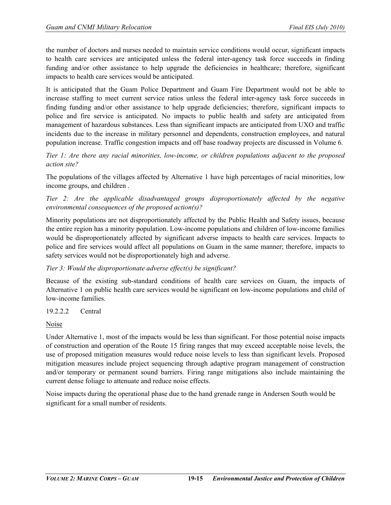the number of doctors and nurses needed to maintain service conditions would occur, significant impacts to health care services are anticipated unless the federal inter-agency task force succeeds in finding funding and/or other assistance to help upgrade the deficiencies in healthcare; therefore, significant impacts to health care services would be anticipated.

It is anticipated that the Guam Police Department and Guam Fire Department would not be able to increase staffing to meet current service ratios unless the federal inter-agency task force succeeds in finding funding and/or other assistance to help upgrade deficiencies; therefore, significant impacts to police and fire service is anticipated. No impacts to public health and safety are anticipated from management of hazardous substances. Less than significant impacts are anticipated from UXO and traffic incidents due to the increase in military personnel and dependents, construction employees, and natural population increase. Traffic congestion impacts and off base roadway projects are discussed in Volume 6.

*Tier 1: Are there any racial minorities, low-income, or children populations adjacent to the proposed action site?*

The populations of the villages affected by Alternative 1 have high percentages of racial minorities, low income groups, and children .

*Tier 2: Are the applicable disadvantaged groups disproportionately affected by the negative environmental consequences of the proposed action(s)?*

Minority populations are not disproportionately affected by the Public Health and Safety issues, because the entire region has a minority population. Low-income populations and children of low-income families would be disproportionately affected by significant adverse impacts to health care services. Impacts to police and fire services would affect all populations on Guam in the same manner; therefore, impacts to safety services would not be disproportionately high and adverse.

## *Tier 3: Would the disproportionate adverse effect(s) be significant?*

Because of the existing sub-standard conditions of health care services on Guam, the impacts of Alternative 1 on public health care services would be significant on low-income populations and child of low-income families.

## 19.2.2.2 Central

Noise

Under Alternative 1, most of the impacts would be less than significant. For those potential noise impacts of construction and operation of the Route 15 firing ranges that may exceed acceptable noise levels, the use of proposed mitigation measures would reduce noise levels to less than significant levels. Proposed mitigation measures include project sequencing through adaptive program management of construction and/or temporary or permanent sound barriers. Firing range mitigations also include maintaining the current dense foliage to attenuate and reduce noise effects.

Noise impacts during the operational phase due to the hand grenade range in Andersen South would be significant for a small number of residents.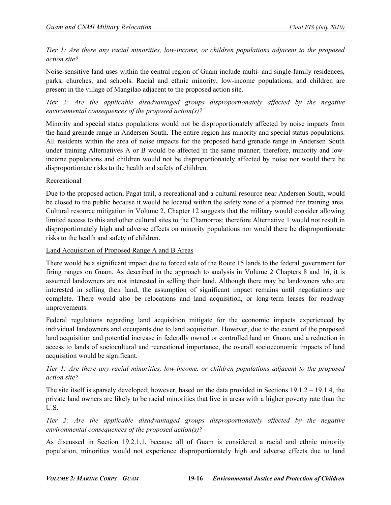*Tier 1: Are there any racial minorities, low-income, or children populations adjacent to the proposed action site?*

Noise-sensitive land uses within the central region of Guam include multi- and single-family residences, parks, churches, and schools. Racial and ethnic minority, low-income populations, and children are present in the village of Mangilao adjacent to the proposed action site.

*Tier 2: Are the applicable disadvantaged groups disproportionately affected by the negative environmental consequences of the proposed action(s)?* 

Minority and special status populations would not be disproportionately affected by noise impacts from the hand grenade range in Andersen South. The entire region has minority and special status populations. All residents within the area of noise impacts for the proposed hand grenade range in Andersen South under training Alternatives A or B would be affected in the same manner; therefore, minority and lowincome populations and children would not be disproportionately affected by noise nor would there be disproportionate risks to the health and safety of children.

#### Recreational

Due to the proposed action, Pagat trail, a recreational and a cultural resource near Andersen South, would be closed to the public because it would be located within the safety zone of a planned fire training area. Cultural resource mitigation in Volume 2, Chapter 12 suggests that the military would consider allowing limited access to this and other cultural sites to the Chamorros; therefore Alternative 1 would not result in disproportionately high and adverse effects on minority populations nor would there be disproportionate risks to the health and safety of children.

#### Land Acquisition of Proposed Range A and B Areas

There would be a significant impact due to forced sale of the Route 15 lands to the federal government for firing ranges on Guam. As described in the approach to analysis in Volume 2 Chapters 8 and 16, it is assumed landowners are not interested in selling their land. Although there may be landowners who are interested in selling their land, the assumption of significant impact remains until negotiations are complete. There would also be relocations and land acquisition, or long-term leases for roadway improvements.

Federal regulations regarding land acquisition mitigate for the economic impacts experienced by individual landowners and occupants due to land acquisition. However, due to the extent of the proposed land acquisition and potential increase in federally owned or controlled land on Guam, and a reduction in access to lands of sociocultural and recreational importance, the overall socioeconomic impacts of land acquisition would be significant.

## *Tier 1: Are there any racial minorities, low-income, or children populations adjacent to the proposed action site?*

The site itself is sparsely developed; however, based on the data provided in Sections 19.1.2 – 19.1.4, the private land owners are likely to be racial minorities that live in areas with a higher poverty rate than the U.S.

*Tier 2: Are the applicable disadvantaged groups disproportionately affected by the negative environmental consequences of the proposed action(s)?*

As discussed in Section 19.2.1.1, because all of Guam is considered a racial and ethnic minority population, minorities would not experience disproportionately high and adverse effects due to land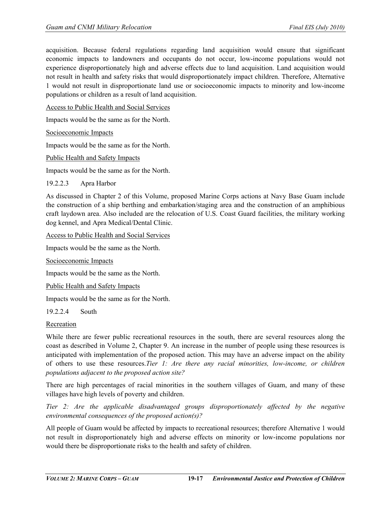acquisition. Because federal regulations regarding land acquisition would ensure that significant economic impacts to landowners and occupants do not occur, low-income populations would not experience disproportionately high and adverse effects due to land acquisition. Land acquisition would not result in health and safety risks that would disproportionately impact children. Therefore, Alternative 1 would not result in disproportionate land use or socioeconomic impacts to minority and low-income populations or children as a result of land acquisition.

Access to Public Health and Social Services

Impacts would be the same as for the North.

Socioeconomic Impacts

Impacts would be the same as for the North.

Public Health and Safety Impacts

Impacts would be the same as for the North.

19.2.2.3 Apra Harbor

As discussed in Chapter 2 of this Volume, proposed Marine Corps actions at Navy Base Guam include the construction of a ship berthing and embarkation/staging area and the construction of an amphibious craft laydown area. Also included are the relocation of U.S. Coast Guard facilities, the military working dog kennel, and Apra Medical/Dental Clinic.

Access to Public Health and Social Services

Impacts would be the same as the North.

Socioeconomic Impacts

Impacts would be the same as the North.

Public Health and Safety Impacts

Impacts would be the same as for the North.

19.2.2.4 South

#### Recreation

While there are fewer public recreational resources in the south, there are several resources along the coast as described in Volume 2, Chapter 9. An increase in the number of people using these resources is anticipated with implementation of the proposed action. This may have an adverse impact on the ability of others to use these resources.*Tier 1: Are there any racial minorities, low-income, or children populations adjacent to the proposed action site?*

There are high percentages of racial minorities in the southern villages of Guam, and many of these villages have high levels of poverty and children.

*Tier 2: Are the applicable disadvantaged groups disproportionately affected by the negative environmental consequences of the proposed action(s)?*

All people of Guam would be affected by impacts to recreational resources; therefore Alternative 1 would not result in disproportionately high and adverse effects on minority or low-income populations nor would there be disproportionate risks to the health and safety of children.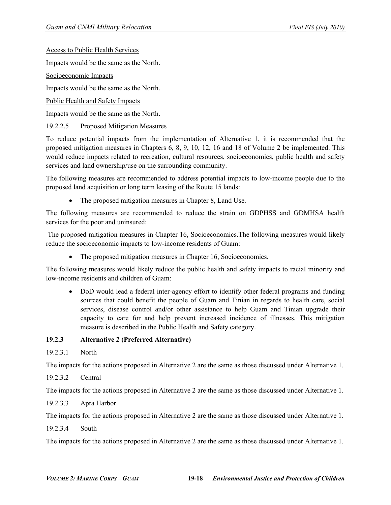Access to Public Health Services

Impacts would be the same as the North.

Socioeconomic Impacts

Impacts would be the same as the North.

Public Health and Safety Impacts

Impacts would be the same as the North.

19.2.2.5 Proposed Mitigation Measures

To reduce potential impacts from the implementation of Alternative 1, it is recommended that the proposed mitigation measures in Chapters 6, 8, 9, 10, 12, 16 and 18 of Volume 2 be implemented. This would reduce impacts related to recreation, cultural resources, socioeconomics, public health and safety services and land ownership/use on the surrounding community.

The following measures are recommended to address potential impacts to low-income people due to the proposed land acquisition or long term leasing of the Route 15 lands:

• The proposed mitigation measures in Chapter 8, Land Use.

The following measures are recommended to reduce the strain on GDPHSS and GDMHSA health services for the poor and uninsured:

The proposed mitigation measures in Chapter 16, Socioeconomics.The following measures would likely reduce the socioeconomic impacts to low-income residents of Guam:

• The proposed mitigation measures in Chapter 16, Socioeconomics.

The following measures would likely reduce the public health and safety impacts to racial minority and low-income residents and children of Guam:

• DoD would lead a federal inter-agency effort to identify other federal programs and funding sources that could benefit the people of Guam and Tinian in regards to health care, social services, disease control and/or other assistance to help Guam and Tinian upgrade their capacity to care for and help prevent increased incidence of illnesses. This mitigation measure is described in the Public Health and Safety category.

#### **19.2.3 Alternative 2 (Preferred Alternative)**

19.2.3.1 North

The impacts for the actions proposed in Alternative 2 are the same as those discussed under Alternative 1.

19.2.3.2 Central

The impacts for the actions proposed in Alternative 2 are the same as those discussed under Alternative 1.

#### 19.2.3.3 Apra Harbor

The impacts for the actions proposed in Alternative 2 are the same as those discussed under Alternative 1.

19.2.3.4 South

The impacts for the actions proposed in Alternative 2 are the same as those discussed under Alternative 1.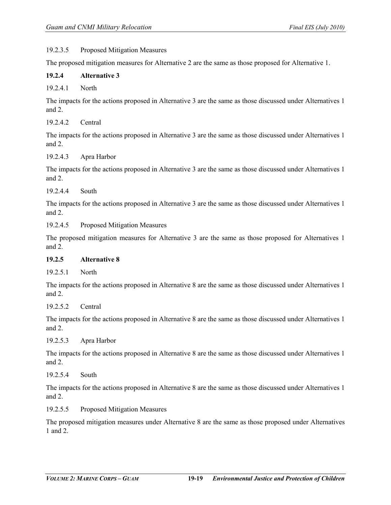#### 19.2.3.5 Proposed Mitigation Measures

The proposed mitigation measures for Alternative 2 are the same as those proposed for Alternative 1.

#### **19.2.4 Alternative 3**

19.2.4.1 North

The impacts for the actions proposed in Alternative 3 are the same as those discussed under Alternatives 1 and 2.

19.2.4.2 Central

The impacts for the actions proposed in Alternative 3 are the same as those discussed under Alternatives 1 and 2.

#### 19.2.4.3 Apra Harbor

The impacts for the actions proposed in Alternative 3 are the same as those discussed under Alternatives 1 and 2.

19.2.4.4 South

The impacts for the actions proposed in Alternative 3 are the same as those discussed under Alternatives 1 and 2.

19.2.4.5 Proposed Mitigation Measures

The proposed mitigation measures for Alternative 3 are the same as those proposed for Alternatives 1 and 2.

#### **19.2.5 Alternative 8**

19.2.5.1 North

The impacts for the actions proposed in Alternative 8 are the same as those discussed under Alternatives 1 and 2.

19.2.5.2 Central

The impacts for the actions proposed in Alternative 8 are the same as those discussed under Alternatives 1 and 2.

## 19.2.5.3 Apra Harbor

The impacts for the actions proposed in Alternative 8 are the same as those discussed under Alternatives 1 and 2.

19.2.5.4 South

The impacts for the actions proposed in Alternative 8 are the same as those discussed under Alternatives 1 and 2.

19.2.5.5 Proposed Mitigation Measures

The proposed mitigation measures under Alternative 8 are the same as those proposed under Alternatives 1 and 2.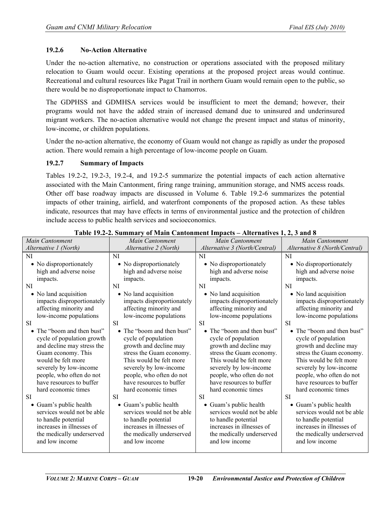#### **19.2.6 No-Action Alternative**

Under the no-action alternative, no construction or operations associated with the proposed military relocation to Guam would occur. Existing operations at the proposed project areas would continue. Recreational and cultural resources like Pagat Trail in northern Guam would remain open to the public, so there would be no disproportionate impact to Chamorros.

The GDPHSS and GDMHSA services would be insufficient to meet the demand; however, their programs would not have the added strain of increased demand due to uninsured and underinsured migrant workers. The no-action alternative would not change the present impact and status of minority, low-income, or children populations.

Under the no-action alternative, the economy of Guam would not change as rapidly as under the proposed action. There would remain a high percentage of low-income people on Guam.

#### **19.2.7 Summary of Impacts**

Tables 19.2-2, 19.2-3, 19.2-4, and 19.2-5 summarize the potential impacts of each action alternative associated with the Main Cantonment, firing range training, ammunition storage, and NMS access roads. Other off base roadway impacts are discussed in Volume 6. Table 19.2-6 summarizes the potential impacts of other training, airfield, and waterfront components of the proposed action. As these tables indicate, resources that may have effects in terms of environmental justice and the protection of children include access to public health services and socioeconomics.

| Main Cantonment                                                                                                                                                                                                                                                                                         | Main Cantonment                                                                                                                                                                                                                                                                                           | Main Cantonment                                                                                                                                                                                                                                                                                              | Main Cantonment                                                                                                                                                                                                                                                                                           |
|---------------------------------------------------------------------------------------------------------------------------------------------------------------------------------------------------------------------------------------------------------------------------------------------------------|-----------------------------------------------------------------------------------------------------------------------------------------------------------------------------------------------------------------------------------------------------------------------------------------------------------|--------------------------------------------------------------------------------------------------------------------------------------------------------------------------------------------------------------------------------------------------------------------------------------------------------------|-----------------------------------------------------------------------------------------------------------------------------------------------------------------------------------------------------------------------------------------------------------------------------------------------------------|
| Alternative 1 (North)                                                                                                                                                                                                                                                                                   | Alternative 2 (North)                                                                                                                                                                                                                                                                                     | Alternative 3 (North/Central)                                                                                                                                                                                                                                                                                | Alternative 8 (North/Central)                                                                                                                                                                                                                                                                             |
| <b>NI</b>                                                                                                                                                                                                                                                                                               | <b>NI</b>                                                                                                                                                                                                                                                                                                 | NI                                                                                                                                                                                                                                                                                                           | NI                                                                                                                                                                                                                                                                                                        |
| • No disproportionately                                                                                                                                                                                                                                                                                 | • No disproportionately                                                                                                                                                                                                                                                                                   | • No disproportionately                                                                                                                                                                                                                                                                                      | • No disproportionately                                                                                                                                                                                                                                                                                   |
| high and adverse noise                                                                                                                                                                                                                                                                                  | high and adverse noise                                                                                                                                                                                                                                                                                    | high and adverse noise                                                                                                                                                                                                                                                                                       | high and adverse noise                                                                                                                                                                                                                                                                                    |
| impacts.                                                                                                                                                                                                                                                                                                | impacts.                                                                                                                                                                                                                                                                                                  | impacts.                                                                                                                                                                                                                                                                                                     | impacts.                                                                                                                                                                                                                                                                                                  |
| NI                                                                                                                                                                                                                                                                                                      | NI                                                                                                                                                                                                                                                                                                        | <b>NI</b>                                                                                                                                                                                                                                                                                                    | <b>NI</b>                                                                                                                                                                                                                                                                                                 |
| • No land acquisition                                                                                                                                                                                                                                                                                   | • No land acquisition                                                                                                                                                                                                                                                                                     | • No land acquisition                                                                                                                                                                                                                                                                                        | • No land acquisition                                                                                                                                                                                                                                                                                     |
| impacts disproportionately                                                                                                                                                                                                                                                                              | impacts disproportionately                                                                                                                                                                                                                                                                                | impacts disproportionately                                                                                                                                                                                                                                                                                   | impacts disproportionately                                                                                                                                                                                                                                                                                |
| affecting minority and                                                                                                                                                                                                                                                                                  | affecting minority and                                                                                                                                                                                                                                                                                    | affecting minority and                                                                                                                                                                                                                                                                                       | affecting minority and                                                                                                                                                                                                                                                                                    |
| low-income populations                                                                                                                                                                                                                                                                                  | low-income populations                                                                                                                                                                                                                                                                                    | low-income populations                                                                                                                                                                                                                                                                                       | low-income populations                                                                                                                                                                                                                                                                                    |
| <b>SI</b>                                                                                                                                                                                                                                                                                               | <b>SI</b>                                                                                                                                                                                                                                                                                                 | SI                                                                                                                                                                                                                                                                                                           | SI                                                                                                                                                                                                                                                                                                        |
| • The "boom and then bust"                                                                                                                                                                                                                                                                              | • The "boom and then bust"                                                                                                                                                                                                                                                                                | • The "boom and then bust"                                                                                                                                                                                                                                                                                   | • The "boom and then bust"                                                                                                                                                                                                                                                                                |
| cycle of population growth<br>and decline may stress the<br>Guam economy. This<br>would be felt more<br>severely by low-income<br>people, who often do not<br>have resources to buffer<br>hard economic times<br><b>SI</b><br>Guam's public health<br>services would not be able<br>to handle potential | cycle of population<br>growth and decline may<br>stress the Guam economy.<br>This would be felt more<br>severely by low-income<br>people, who often do not<br>have resources to buffer<br>hard economic times<br><b>SI</b><br>• Guam's public health<br>services would not be able<br>to handle potential | cycle of population<br>growth and decline may<br>stress the Guam economy.<br>This would be felt more<br>severely by low-income<br>people, who often do not<br>have resources to buffer<br>hard economic times<br><b>SI</b><br>Guam's public health<br>٠<br>services would not be able<br>to handle potential | cycle of population<br>growth and decline may<br>stress the Guam economy.<br>This would be felt more<br>severely by low-income<br>people, who often do not<br>have resources to buffer<br>hard economic times<br><b>SI</b><br>• Guam's public health<br>services would not be able<br>to handle potential |
| increases in illnesses of                                                                                                                                                                                                                                                                               | increases in illnesses of                                                                                                                                                                                                                                                                                 | increases in illnesses of                                                                                                                                                                                                                                                                                    | increases in illnesses of                                                                                                                                                                                                                                                                                 |
| the medically underserved                                                                                                                                                                                                                                                                               | the medically underserved                                                                                                                                                                                                                                                                                 | the medically underserved                                                                                                                                                                                                                                                                                    | the medically underserved                                                                                                                                                                                                                                                                                 |
| and low income                                                                                                                                                                                                                                                                                          | and low income                                                                                                                                                                                                                                                                                            | and low income                                                                                                                                                                                                                                                                                               | and low income                                                                                                                                                                                                                                                                                            |

**Table 19.2-2. Summary of Main Cantonment Impacts – Alternatives 1, 2, 3 and 8**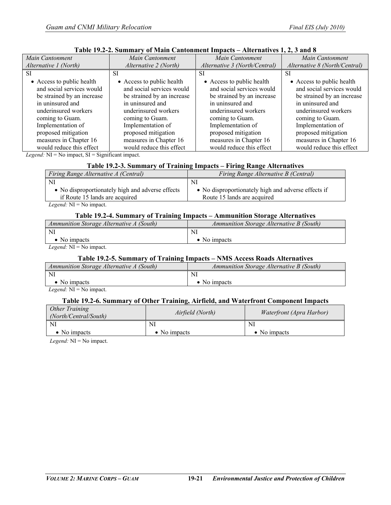| Main Cantonment            | Main Cantonment            | Main Cantonment               | Main Cantonment               |
|----------------------------|----------------------------|-------------------------------|-------------------------------|
| Alternative 1 (North)      | Alternative 2 (North)      | Alternative 3 (North/Central) | Alternative 8 (North/Central) |
| SI                         | SІ                         | <b>SI</b>                     | SI                            |
| • Access to public health  | • Access to public health  | • Access to public health     | • Access to public health     |
| and social services would  | and social services would  | and social services would     | and social services would     |
| be strained by an increase | be strained by an increase | be strained by an increase    | be strained by an increase    |
| in uninsured and           | in uninsured and           | in uninsured and              | in uninsured and              |
| underinsured workers       | underinsured workers       | underinsured workers          | underinsured workers          |
| coming to Guam.            | coming to Guam.            | coming to Guam.               | coming to Guam.               |
| Implementation of          | Implementation of          | Implementation of             | Implementation of             |
| proposed mitigation        | proposed mitigation        | proposed mitigation           | proposed mitigation           |
| measures in Chapter 16     | measures in Chapter 16     | measures in Chapter 16        | measures in Chapter 16        |
| would reduce this effect   | would reduce this effect   | would reduce this effect      | would reduce this effect      |

#### **Table 19.2-2. Summary of Main Cantonment Impacts – Alternatives 1, 2, 3 and 8**

*Legend:* NI = No impact, SI = Significant impact.

#### **Table 19.2-3. Summary of Training Impacts – Firing Range Alternatives**

| Firing Range Alternative A (Central)             | Firing Range Alternative B (Central)                |  |  |
|--------------------------------------------------|-----------------------------------------------------|--|--|
| <sup>NI</sup>                                    | NI                                                  |  |  |
| • No disproportionately high and adverse effects | • No disproportionately high and adverse effects if |  |  |
| if Route 15 lands are acquired                   | Route 15 lands are acquired                         |  |  |
| <i>Legend:</i> $NI = No$ impact.                 |                                                     |  |  |

#### **Table 19.2-4. Summary of Training Impacts – Ammunition Storage Alternatives**

| Ammunition Storage Alternative A (South) | Ammunition Storage Alternative B (South) |
|------------------------------------------|------------------------------------------|
| NI                                       | NI                                       |
| • No impacts                             | $\bullet$ No impacts                     |
| $I = INT M.$                             |                                          |

*Legend:* NI = No impact.

#### **Table 19.2-5. Summary of Training Impacts – NMS Access Roads Alternatives**

| Ammunition Storage Alternative A (South)                                                 | Ammunition Storage Alternative B (South) |
|------------------------------------------------------------------------------------------|------------------------------------------|
| NI                                                                                       | NI                                       |
| $\bullet$ No impacts                                                                     | $\bullet$ No impacts                     |
| _____<br>the contract of the contract of the contract of the contract of the contract of |                                          |

*Legend:* NI = No impact.

#### **Table 19.2-6. Summary of Other Training, Airfield, and Waterfront Component Impacts**

| Other Training<br>(North/Central/South) | Airfield (North) | Waterfront (Apra Harbor) |
|-----------------------------------------|------------------|--------------------------|
|                                         | NI               | NI                       |
| No impacts                              | No impacts       | $\bullet$ No impacts     |

*Legend:* NI = No impact.